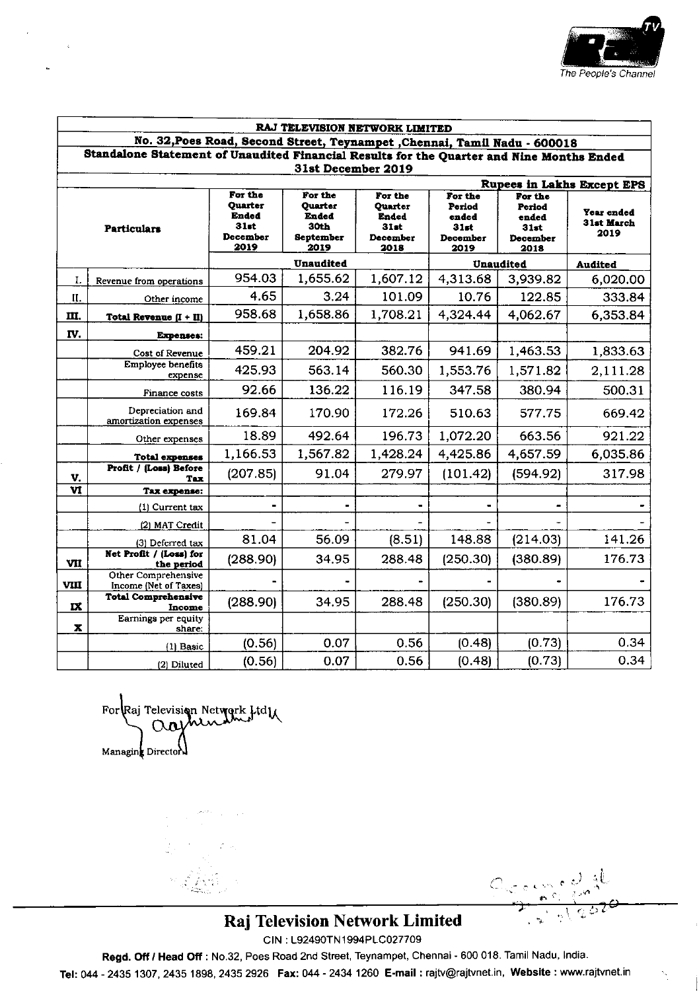

| RAJ TELEVISION NETWORK LIMITED<br>No. 32, Poes Road, Second Street, Teynampet , Chennai, Tamil Nadu - 600018<br>Standalone Statement of Unaudited Financial Results for the Quarter and Nine Months Ended<br>31st December 2019 |                                              |          |                      |          |          |          |          |                                   |  |                                                                       |                                                          |                                                                       |                                                        |                                                        |                                  |
|---------------------------------------------------------------------------------------------------------------------------------------------------------------------------------------------------------------------------------|----------------------------------------------|----------|----------------------|----------|----------|----------|----------|-----------------------------------|--|-----------------------------------------------------------------------|----------------------------------------------------------|-----------------------------------------------------------------------|--------------------------------------------------------|--------------------------------------------------------|----------------------------------|
|                                                                                                                                                                                                                                 |                                              |          |                      |          |          |          |          | <b>Rupees in Lakhs Except EPS</b> |  |                                                                       |                                                          |                                                                       |                                                        |                                                        |                                  |
|                                                                                                                                                                                                                                 |                                              |          |                      |          |          |          |          | <b>Particulars</b>                |  | For the<br><b>Quarter</b><br>Ended<br><b>31st</b><br>December<br>2019 | For the<br>Quarter<br>Ended<br>30th<br>September<br>2019 | For the<br>Quarter<br><b>Ended</b><br><b>31st</b><br>December<br>2018 | For the<br>Period<br>ended<br>31st<br>December<br>2019 | For the<br>Period<br>ended<br>31st<br>December<br>2018 | Year ended<br>31st March<br>2019 |
| <b>Unaudited</b>                                                                                                                                                                                                                |                                              |          | Unaudited<br>Audited |          |          |          |          |                                   |  |                                                                       |                                                          |                                                                       |                                                        |                                                        |                                  |
| I.                                                                                                                                                                                                                              | Revenue from operations                      | 954.03   | 1,655.62             | 1,607.12 | 4,313.68 | 3,939.82 | 6,020.00 |                                   |  |                                                                       |                                                          |                                                                       |                                                        |                                                        |                                  |
| II.                                                                                                                                                                                                                             | Other income                                 | 4.65     | 3.24                 | 101.09   | 10.76    | 122.85   | 333.84   |                                   |  |                                                                       |                                                          |                                                                       |                                                        |                                                        |                                  |
| m.                                                                                                                                                                                                                              | Total Revenue $(I + II)$                     | 958.68   | 1,658.86             | 1,708.21 | 4,324.44 | 4,062.67 | 6,353.84 |                                   |  |                                                                       |                                                          |                                                                       |                                                        |                                                        |                                  |
| IV.                                                                                                                                                                                                                             | <b>Expenses:</b>                             |          |                      |          |          |          |          |                                   |  |                                                                       |                                                          |                                                                       |                                                        |                                                        |                                  |
|                                                                                                                                                                                                                                 | Cost of Revenue                              | 459.21   | 204.92               | 382.76   | 941.69   | 1,463.53 | 1,833.63 |                                   |  |                                                                       |                                                          |                                                                       |                                                        |                                                        |                                  |
|                                                                                                                                                                                                                                 | Employee benefits<br>expense                 | 425.93   | 563.14               | 560.30   | 1,553.76 | 1,571.82 | 2,111.28 |                                   |  |                                                                       |                                                          |                                                                       |                                                        |                                                        |                                  |
|                                                                                                                                                                                                                                 | Finance costs                                | 92.66    | 136.22               | 116.19   | 347.58   | 380.94   | 500.31   |                                   |  |                                                                       |                                                          |                                                                       |                                                        |                                                        |                                  |
|                                                                                                                                                                                                                                 | Depreciation and<br>amortization expenses    | 169.84   | 170.90               | 172.26   | 510.63   | 577.75   | 669.42   |                                   |  |                                                                       |                                                          |                                                                       |                                                        |                                                        |                                  |
|                                                                                                                                                                                                                                 | Other expenses                               | 18.89    | 492.64               | 196.73   | 1,072.20 | 663.56   | 921.22   |                                   |  |                                                                       |                                                          |                                                                       |                                                        |                                                        |                                  |
|                                                                                                                                                                                                                                 | <b>Total expenses</b>                        | 1,166.53 | 1,567.82             | 1,428.24 | 4,425.86 | 4,657.59 | 6,035.86 |                                   |  |                                                                       |                                                          |                                                                       |                                                        |                                                        |                                  |
| V.                                                                                                                                                                                                                              | Profit / (Loss) Before<br>Tax                | (207.85) | 91.04                | 279.97   | (101.42) | (594.92) | 317.98   |                                   |  |                                                                       |                                                          |                                                                       |                                                        |                                                        |                                  |
| $\overline{\mathbf{u}}$                                                                                                                                                                                                         | Tax expense:                                 |          |                      |          |          |          |          |                                   |  |                                                                       |                                                          |                                                                       |                                                        |                                                        |                                  |
|                                                                                                                                                                                                                                 | (1) Current tax                              | ۰        |                      |          | ۰        |          |          |                                   |  |                                                                       |                                                          |                                                                       |                                                        |                                                        |                                  |
|                                                                                                                                                                                                                                 | (2) MAT Credit                               |          |                      |          |          |          |          |                                   |  |                                                                       |                                                          |                                                                       |                                                        |                                                        |                                  |
|                                                                                                                                                                                                                                 | (3) Deferred tax                             | 81.04    | 56.09                | (8.51)   | 148.88   | (214.03) | 141.26   |                                   |  |                                                                       |                                                          |                                                                       |                                                        |                                                        |                                  |
| VII                                                                                                                                                                                                                             | Net Profit / (Loss) for<br>the period        | (288.90) | 34.95                | 288.48   | (250.30) | (380.89) | 176.73   |                                   |  |                                                                       |                                                          |                                                                       |                                                        |                                                        |                                  |
| VIII                                                                                                                                                                                                                            | Other Comprehensive<br>Income (Net of Taxes) |          |                      |          |          |          |          |                                   |  |                                                                       |                                                          |                                                                       |                                                        |                                                        |                                  |
| IX                                                                                                                                                                                                                              | <b>Total Comprehensive</b><br>Income         | (288.90) | 34.95                | 288.48   | (250.30) | (380.89) | 176.73   |                                   |  |                                                                       |                                                          |                                                                       |                                                        |                                                        |                                  |
| $\boldsymbol{\mathbf{x}}$                                                                                                                                                                                                       | Earnings per equity<br>share:                |          |                      |          |          |          |          |                                   |  |                                                                       |                                                          |                                                                       |                                                        |                                                        |                                  |
|                                                                                                                                                                                                                                 | (1) Basic                                    | (0.56)   | 0.07                 | 0.56     | (0.48)   | (0.73)   | 0.34     |                                   |  |                                                                       |                                                          |                                                                       |                                                        |                                                        |                                  |
|                                                                                                                                                                                                                                 | (2) Diluted                                  | (0.56)   | 0.07                 | 0.56     | (0.48)   | (0.73)   | 0.34     |                                   |  |                                                                       |                                                          |                                                                       |                                                        |                                                        |                                  |

For Raj Television Network Ltdu Managing Director

 $\label{eq:1} \mathcal{P}=\sum_{i=1}^{N} \sum_{j=1}^{N} \mathcal{P}^{(i)}_{ij}$ 

Occured

# Raj Television Network Limited

CIN: L92490TN1994PLC027709

Regd. Off / Head Off : No.32, Poes Road 2nd Street, Teynampet, Chennai - 600 018. Tamil Nadu, India.

Tel: 044 - 2435 1307, 2435 1898, 2435 2926 Fax: 044 - 2434 1260 E-mail : rajtv@rajtvnet.in, Website : www.rajtvnet.in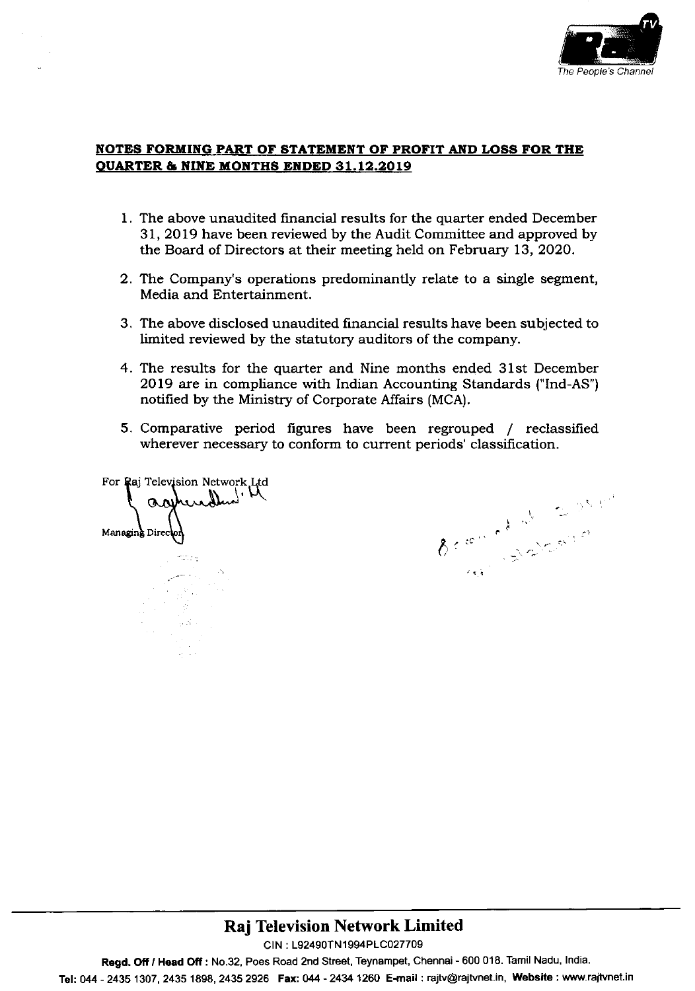

## NOTES FORMING PART OF STATEMENT OF PROFIT AND LOSS FOR THE OUARTER & NINE MONTHS ENDED 31.12.2019

- 1. The above unaudited financial results for the quarter ended December 31, 2019 have been reviewed by the Audit Committee and approved by the Board of Directors at their meeting held on February 13, 2020.
- 2. The Company's operations predominantly relate to a single segment, Media and Entertainment.
- 3. The above disclosed unaudited financial results have been subjected to limited reviewed by the statutory auditors of the company.
- 4. The results for the quarter and Nine months ended 31st December 2Ol9 are in compliance with Indian Accounting Standards ("lnd-As") notifred by the Ministry of Corporate Affairs (MCA).
- 5. Comparative period figures have been regrouped / reclassified wherever necessary to conform to current periods' classification.

For Raj Television Network Ltd Managing Direc agenerallent the

t  $\zeta$ 

# Raj Television Network Limited

CIN : L92490TN1994PLC027709

Regd. Off / Head Off : No.32, Poes Road 2nd Street, Teynampet, Chennai - 600 018. Tamil Nadu, India.

Tel: 044 - 2435 1307, 2435 1898, 2435 2926 Fax: 044 - 2434 1260 E-mail: rajtv@rajtvnet.in, Website: www.rajtvnet.in